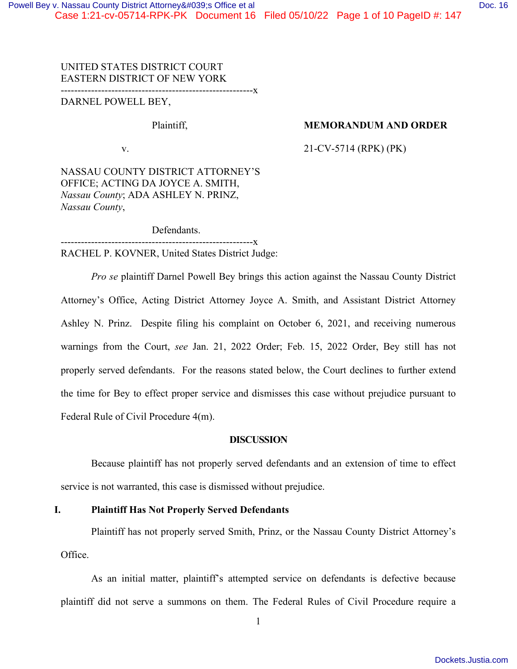# UNITED STATES DISTRICT COURT EASTERN DISTRICT OF NEW YORK

---------------------------------------------------------x

DARNEL POWELL BEY,

# Plaintiff, **MEMORANDUM AND ORDER**

v. 21-CV-5714 (RPK) (PK)

NASSAU COUNTY DISTRICT ATTORNEY'S OFFICE; ACTING DA JOYCE A. SMITH, *Nassau County*; ADA ASHLEY N. PRINZ, *Nassau County*,

Defendants.

---------------------------------------------------------x RACHEL P. KOVNER, United States District Judge:

*Pro se* plaintiff Darnel Powell Bey brings this action against the Nassau County District Attorney's Office, Acting District Attorney Joyce A. Smith, and Assistant District Attorney Ashley N. Prinz. Despite filing his complaint on October 6, 2021, and receiving numerous warnings from the Court, *see* Jan. 21, 2022 Order; Feb. 15, 2022 Order, Bey still has not properly served defendants. For the reasons stated below, the Court declines to further extend the time for Bey to effect proper service and dismisses this case without prejudice pursuant to Federal Rule of Civil Procedure 4(m).

#### **DISCUSSION**

Because plaintiff has not properly served defendants and an extension of time to effect service is not warranted, this case is dismissed without prejudice.

# **I. Plaintiff Has Not Properly Served Defendants**

Plaintiff has not properly served Smith, Prinz, or the Nassau County District Attorney's Office.

As an initial matter, plaintiff's attempted service on defendants is defective because plaintiff did not serve a summons on them. The Federal Rules of Civil Procedure require a

1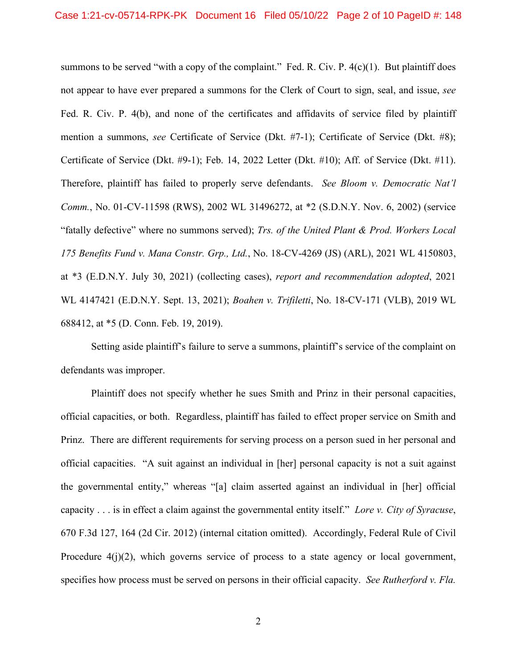summons to be served "with a copy of the complaint." Fed. R. Civ. P.  $4(c)(1)$ . But plaintiff does not appear to have ever prepared a summons for the Clerk of Court to sign, seal, and issue, *see*  Fed. R. Civ. P. 4(b), and none of the certificates and affidavits of service filed by plaintiff mention a summons, *see* Certificate of Service (Dkt. #7-1); Certificate of Service (Dkt. #8); Certificate of Service (Dkt. #9-1); Feb. 14, 2022 Letter (Dkt. #10); Aff. of Service (Dkt. #11). Therefore, plaintiff has failed to properly serve defendants. *See Bloom v. Democratic Nat'l Comm.*, No. 01-CV-11598 (RWS), 2002 WL 31496272, at \*2 (S.D.N.Y. Nov. 6, 2002) (service "fatally defective" where no summons served); *Trs. of the United Plant & Prod. Workers Local 175 Benefits Fund v. Mana Constr. Grp., Ltd.*, No. 18-CV-4269 (JS) (ARL), 2021 WL 4150803, at \*3 (E.D.N.Y. July 30, 2021) (collecting cases), *report and recommendation adopted*, 2021 WL 4147421 (E.D.N.Y. Sept. 13, 2021); *Boahen v. Trifiletti*, No. 18-CV-171 (VLB), 2019 WL 688412, at \*5 (D. Conn. Feb. 19, 2019).

Setting aside plaintiff's failure to serve a summons, plaintiff's service of the complaint on defendants was improper.

Plaintiff does not specify whether he sues Smith and Prinz in their personal capacities, official capacities, or both. Regardless, plaintiff has failed to effect proper service on Smith and Prinz. There are different requirements for serving process on a person sued in her personal and official capacities. "A suit against an individual in [her] personal capacity is not a suit against the governmental entity," whereas "[a] claim asserted against an individual in [her] official capacity . . . is in effect a claim against the governmental entity itself." *Lore v. City of Syracuse*, 670 F.3d 127, 164 (2d Cir. 2012) (internal citation omitted). Accordingly, Federal Rule of Civil Procedure 4(j)(2), which governs service of process to a state agency or local government, specifies how process must be served on persons in their official capacity. *See Rutherford v. Fla.*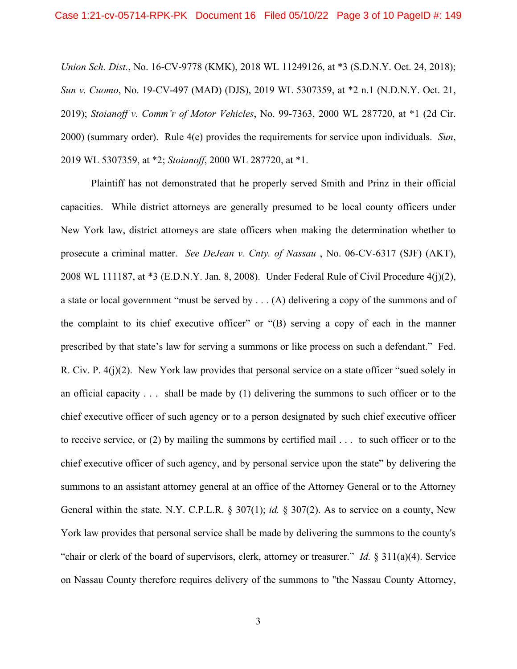*Union Sch. Dist.*, No. 16-CV-9778 (KMK), 2018 WL 11249126, at \*3 (S.D.N.Y. Oct. 24, 2018); *Sun v. Cuomo*, No. 19-CV-497 (MAD) (DJS), 2019 WL 5307359, at \*2 n.1 (N.D.N.Y. Oct. 21, 2019); *Stoianoff v. Comm'r of Motor Vehicles*, No. 99-7363, 2000 WL 287720, at \*1 (2d Cir. 2000) (summary order). Rule 4(e) provides the requirements for service upon individuals. *Sun*, 2019 WL 5307359, at \*2; *Stoianoff*, 2000 WL 287720, at \*1.

Plaintiff has not demonstrated that he properly served Smith and Prinz in their official capacities. While district attorneys are generally presumed to be local county officers under New York law, district attorneys are state officers when making the determination whether to prosecute a criminal matter. *See DeJean v. Cnty. of Nassau* , No. 06-CV-6317 (SJF) (AKT), 2008 WL 111187, at \*3 (E.D.N.Y. Jan. 8, 2008). Under Federal Rule of Civil Procedure 4(j)(2), a state or local government "must be served by . . . (A) delivering a copy of the summons and of the complaint to its chief executive officer" or "(B) serving a copy of each in the manner prescribed by that state's law for serving a summons or like process on such a defendant." Fed. R. Civ. P. 4(j)(2). New York law provides that personal service on a state officer "sued solely in an official capacity . . . shall be made by (1) delivering the summons to such officer or to the chief executive officer of such agency or to a person designated by such chief executive officer to receive service, or (2) by mailing the summons by certified mail . . . to such officer or to the chief executive officer of such agency, and by personal service upon the state" by delivering the summons to an assistant attorney general at an office of the Attorney General or to the Attorney General within the state. N.Y. C.P.L.R. § 307(1); *id.* § 307(2). As to service on a county, New York law provides that personal service shall be made by delivering the summons to the county's "chair or clerk of the board of supervisors, clerk, attorney or treasurer." *Id.* § 311(a)(4). Service on Nassau County therefore requires delivery of the summons to "the Nassau County Attorney,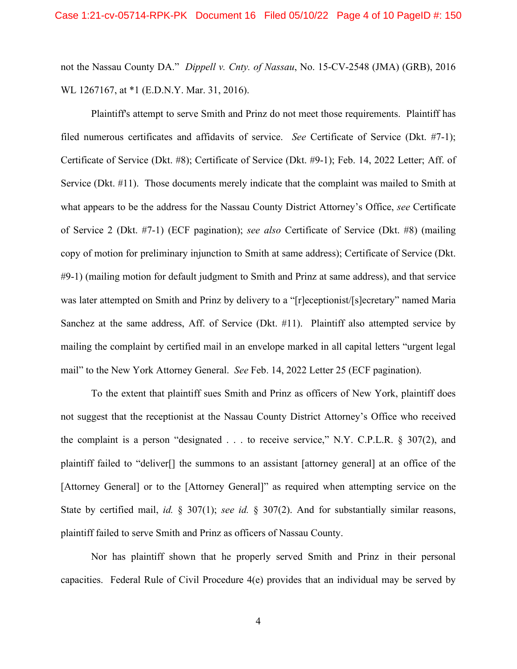not the Nassau County DA." *Dippell v. Cnty. of Nassau*, No. 15-CV-2548 (JMA) (GRB), 2016 WL 1267167, at \*1 (E.D.N.Y. Mar. 31, 2016).

Plaintiff's attempt to serve Smith and Prinz do not meet those requirements. Plaintiff has filed numerous certificates and affidavits of service. *See* Certificate of Service (Dkt. #7-1); Certificate of Service (Dkt. #8); Certificate of Service (Dkt. #9-1); Feb. 14, 2022 Letter; Aff. of Service (Dkt. #11). Those documents merely indicate that the complaint was mailed to Smith at what appears to be the address for the Nassau County District Attorney's Office, *see* Certificate of Service 2 (Dkt. #7-1) (ECF pagination); *see also* Certificate of Service (Dkt. #8) (mailing copy of motion for preliminary injunction to Smith at same address); Certificate of Service (Dkt. #9-1) (mailing motion for default judgment to Smith and Prinz at same address), and that service was later attempted on Smith and Prinz by delivery to a "[r]eceptionist/[s]ecretary" named Maria Sanchez at the same address, Aff. of Service (Dkt. #11). Plaintiff also attempted service by mailing the complaint by certified mail in an envelope marked in all capital letters "urgent legal mail" to the New York Attorney General. *See* Feb. 14, 2022 Letter 25 (ECF pagination).

To the extent that plaintiff sues Smith and Prinz as officers of New York, plaintiff does not suggest that the receptionist at the Nassau County District Attorney's Office who received the complaint is a person "designated . . . to receive service," N.Y. C.P.L.R. § 307(2), and plaintiff failed to "deliver[] the summons to an assistant [attorney general] at an office of the [Attorney General] or to the [Attorney General]" as required when attempting service on the State by certified mail, *id.* § 307(1); *see id.* § 307(2). And for substantially similar reasons, plaintiff failed to serve Smith and Prinz as officers of Nassau County.

Nor has plaintiff shown that he properly served Smith and Prinz in their personal capacities. Federal Rule of Civil Procedure 4(e) provides that an individual may be served by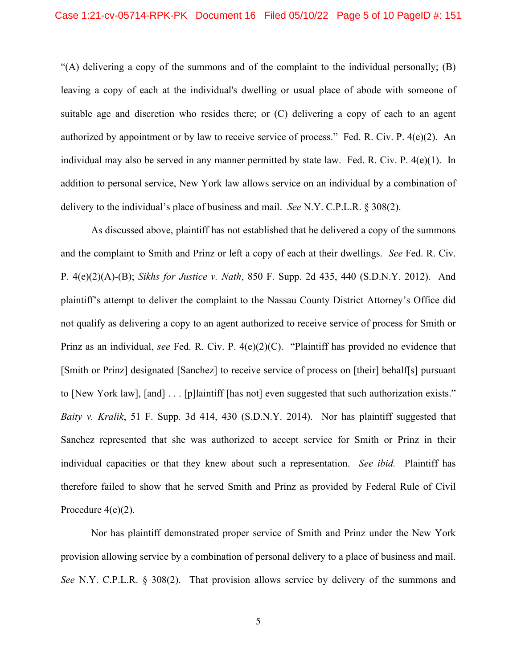"(A) delivering a copy of the summons and of the complaint to the individual personally; (B) leaving a copy of each at the individual's dwelling or usual place of abode with someone of suitable age and discretion who resides there; or (C) delivering a copy of each to an agent authorized by appointment or by law to receive service of process." Fed. R. Civ. P. 4(e)(2). An individual may also be served in any manner permitted by state law. Fed. R. Civ. P. 4(e)(1). In addition to personal service, New York law allows service on an individual by a combination of delivery to the individual's place of business and mail. *See* N.Y. C.P.L.R. § 308(2).

As discussed above, plaintiff has not established that he delivered a copy of the summons and the complaint to Smith and Prinz or left a copy of each at their dwellings. *See* Fed. R. Civ. P. 4(e)(2)(A)-(B); *Sikhs for Justice v. Nath*, 850 F. Supp. 2d 435, 440 (S.D.N.Y. 2012). And plaintiff's attempt to deliver the complaint to the Nassau County District Attorney's Office did not qualify as delivering a copy to an agent authorized to receive service of process for Smith or Prinz as an individual, *see* Fed. R. Civ. P. 4(e)(2)(C). "Plaintiff has provided no evidence that [Smith or Prinz] designated [Sanchez] to receive service of process on [their] behalf[s] pursuant to [New York law], [and] . . . [p]laintiff [has not] even suggested that such authorization exists." *Baity v. Kralik*, 51 F. Supp. 3d 414, 430 (S.D.N.Y. 2014). Nor has plaintiff suggested that Sanchez represented that she was authorized to accept service for Smith or Prinz in their individual capacities or that they knew about such a representation. *See ibid.* Plaintiff has therefore failed to show that he served Smith and Prinz as provided by Federal Rule of Civil Procedure 4(e)(2).

Nor has plaintiff demonstrated proper service of Smith and Prinz under the New York provision allowing service by a combination of personal delivery to a place of business and mail. *See* N.Y. C.P.L.R. § 308(2). That provision allows service by delivery of the summons and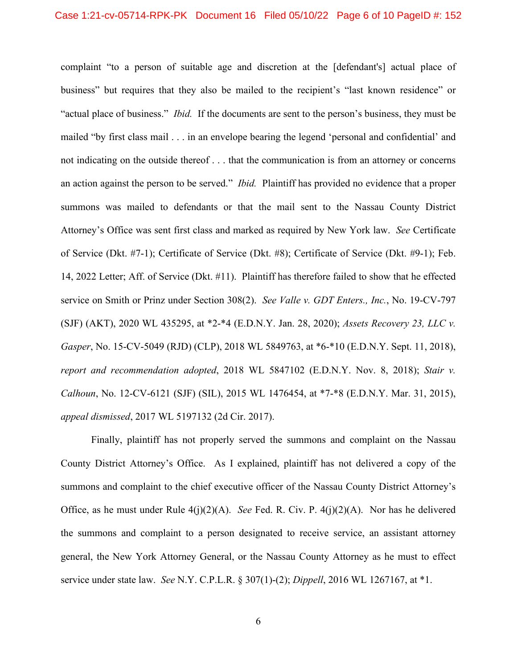complaint "to a person of suitable age and discretion at the [defendant's] actual place of business" but requires that they also be mailed to the recipient's "last known residence" or "actual place of business." *Ibid.* If the documents are sent to the person's business, they must be mailed "by first class mail . . . in an envelope bearing the legend 'personal and confidential' and not indicating on the outside thereof . . . that the communication is from an attorney or concerns an action against the person to be served." *Ibid.* Plaintiff has provided no evidence that a proper summons was mailed to defendants or that the mail sent to the Nassau County District Attorney's Office was sent first class and marked as required by New York law. *See* Certificate of Service (Dkt. #7-1); Certificate of Service (Dkt. #8); Certificate of Service (Dkt. #9-1); Feb. 14, 2022 Letter; Aff. of Service (Dkt. #11). Plaintiff has therefore failed to show that he effected service on Smith or Prinz under Section 308(2). *See Valle v. GDT Enters., Inc.*, No. 19-CV-797 (SJF) (AKT), 2020 WL 435295, at \*2-\*4 (E.D.N.Y. Jan. 28, 2020); *Assets Recovery 23, LLC v. Gasper*, No. 15-CV-5049 (RJD) (CLP), 2018 WL 5849763, at \*6-\*10 (E.D.N.Y. Sept. 11, 2018), *report and recommendation adopted*, 2018 WL 5847102 (E.D.N.Y. Nov. 8, 2018); *Stair v. Calhoun*, No. 12-CV-6121 (SJF) (SIL), 2015 WL 1476454, at \*7-\*8 (E.D.N.Y. Mar. 31, 2015), *appeal dismissed*, 2017 WL 5197132 (2d Cir. 2017).

Finally, plaintiff has not properly served the summons and complaint on the Nassau County District Attorney's Office. As I explained, plaintiff has not delivered a copy of the summons and complaint to the chief executive officer of the Nassau County District Attorney's Office, as he must under Rule 4(j)(2)(A). *See* Fed. R. Civ. P. 4(j)(2)(A). Nor has he delivered the summons and complaint to a person designated to receive service, an assistant attorney general, the New York Attorney General, or the Nassau County Attorney as he must to effect service under state law. *See* N.Y. C.P.L.R. § 307(1)-(2); *Dippell*, 2016 WL 1267167, at \*1.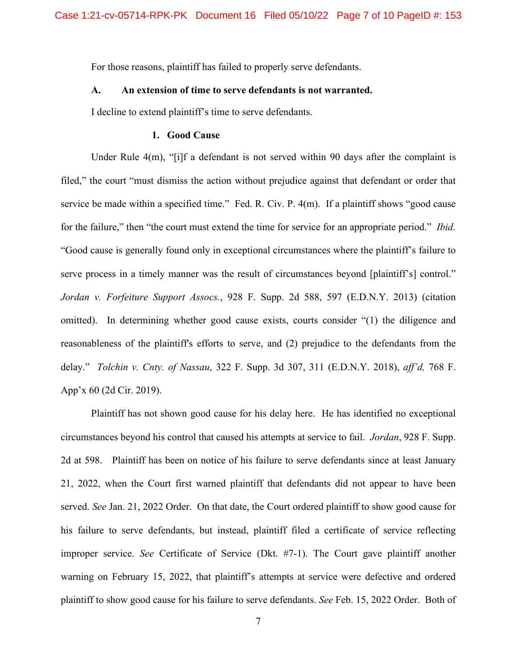For those reasons, plaintiff has failed to properly serve defendants.

### **A. An extension of time to serve defendants is not warranted.**

I decline to extend plaintiff's time to serve defendants.

## **1. Good Cause**

Under Rule  $4(m)$ , "[i]f a defendant is not served within 90 days after the complaint is filed," the court "must dismiss the action without prejudice against that defendant or order that service be made within a specified time." Fed. R. Civ. P. 4(m). If a plaintiff shows "good cause for the failure," then "the court must extend the time for service for an appropriate period." *Ibid.* "Good cause is generally found only in exceptional circumstances where the plaintiff's failure to serve process in a timely manner was the result of circumstances beyond [plaintiff's] control." *Jordan v. Forfeiture Support Assocs.*, 928 F. Supp. 2d 588, 597 (E.D.N.Y. 2013) (citation omitted). In determining whether good cause exists, courts consider "(1) the diligence and reasonableness of the plaintiff's efforts to serve, and (2) prejudice to the defendants from the delay." *Tolchin v. Cnty. of Nassau*, 322 F. Supp. 3d 307, 311 (E.D.N.Y. 2018), *aff'd,* 768 F. App'x 60 (2d Cir. 2019).

Plaintiff has not shown good cause for his delay here. He has identified no exceptional circumstances beyond his control that caused his attempts at service to fail. *Jordan*, 928 F. Supp. 2d at 598. Plaintiff has been on notice of his failure to serve defendants since at least January 21, 2022, when the Court first warned plaintiff that defendants did not appear to have been served. *See* Jan. 21, 2022 Order. On that date, the Court ordered plaintiff to show good cause for his failure to serve defendants, but instead, plaintiff filed a certificate of service reflecting improper service. *See* Certificate of Service (Dkt. #7-1). The Court gave plaintiff another warning on February 15, 2022, that plaintiff's attempts at service were defective and ordered plaintiff to show good cause for his failure to serve defendants. *See* Feb. 15, 2022 Order. Both of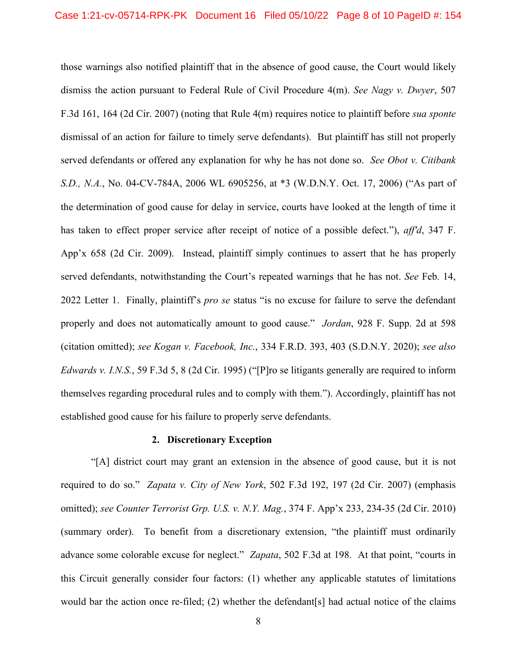those warnings also notified plaintiff that in the absence of good cause, the Court would likely dismiss the action pursuant to Federal Rule of Civil Procedure 4(m). *See Nagy v. Dwyer*, 507 F.3d 161, 164 (2d Cir. 2007) (noting that Rule 4(m) requires notice to plaintiff before *sua sponte*  dismissal of an action for failure to timely serve defendants). But plaintiff has still not properly served defendants or offered any explanation for why he has not done so. *See Obot v. Citibank S.D., N.A.*, No. 04-CV-784A, 2006 WL 6905256, at \*3 (W.D.N.Y. Oct. 17, 2006) ("As part of the determination of good cause for delay in service, courts have looked at the length of time it has taken to effect proper service after receipt of notice of a possible defect."), *aff'd*, 347 F. App'x 658 (2d Cir. 2009). Instead, plaintiff simply continues to assert that he has properly served defendants, notwithstanding the Court's repeated warnings that he has not. *See* Feb. 14, 2022 Letter 1. Finally, plaintiff's *pro se* status "is no excuse for failure to serve the defendant properly and does not automatically amount to good cause." *Jordan*, 928 F. Supp. 2d at 598 (citation omitted); *see Kogan v. Facebook, Inc.*, 334 F.R.D. 393, 403 (S.D.N.Y. 2020); *see also Edwards v. I.N.S.*, 59 F.3d 5, 8 (2d Cir. 1995) ("[P]ro se litigants generally are required to inform themselves regarding procedural rules and to comply with them."). Accordingly, plaintiff has not established good cause for his failure to properly serve defendants.

### **2. Discretionary Exception**

"[A] district court may grant an extension in the absence of good cause, but it is not required to do so." *Zapata v. City of New York*, 502 F.3d 192, 197 (2d Cir. 2007) (emphasis omitted); *see Counter Terrorist Grp. U.S. v. N.Y. Mag.*, 374 F. App'x 233, 234-35 (2d Cir. 2010) (summary order). To benefit from a discretionary extension, "the plaintiff must ordinarily advance some colorable excuse for neglect." *Zapata*, 502 F.3d at 198. At that point, "courts in this Circuit generally consider four factors: (1) whether any applicable statutes of limitations would bar the action once re-filed; (2) whether the defendant[s] had actual notice of the claims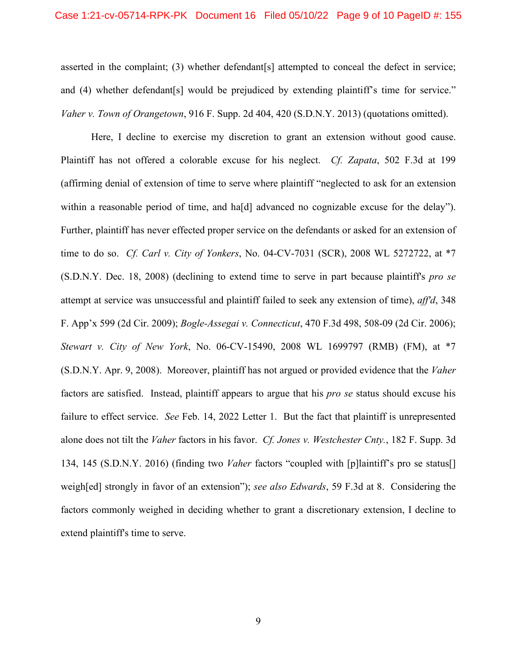#### Case 1:21-cv-05714-RPK-PK Document 16 Filed 05/10/22 Page 9 of 10 PageID #: 155

asserted in the complaint; (3) whether defendant[s] attempted to conceal the defect in service; and (4) whether defendant [s] would be prejudiced by extending plaintiff's time for service." *Vaher v. Town of Orangetown*, 916 F. Supp. 2d 404, 420 (S.D.N.Y. 2013) (quotations omitted).

Here, I decline to exercise my discretion to grant an extension without good cause. Plaintiff has not offered a colorable excuse for his neglect. *Cf. Zapata*, 502 F.3d at 199 (affirming denial of extension of time to serve where plaintiff "neglected to ask for an extension within a reasonable period of time, and ha<sup>[d]</sup> advanced no cognizable excuse for the delay"). Further, plaintiff has never effected proper service on the defendants or asked for an extension of time to do so. *Cf. Carl v. City of Yonkers*, No. 04-CV-7031 (SCR), 2008 WL 5272722, at \*7 (S.D.N.Y. Dec. 18, 2008) (declining to extend time to serve in part because plaintiff's *pro se* attempt at service was unsuccessful and plaintiff failed to seek any extension of time), *aff'd*, 348 F. App'x 599 (2d Cir. 2009); *Bogle-Assegai v. Connecticut*, 470 F.3d 498, 508-09 (2d Cir. 2006); *Stewart v. City of New York*, No. 06-CV-15490, 2008 WL 1699797 (RMB) (FM), at \*7 (S.D.N.Y. Apr. 9, 2008). Moreover, plaintiff has not argued or provided evidence that the *Vaher* factors are satisfied. Instead, plaintiff appears to argue that his *pro se* status should excuse his failure to effect service. *See* Feb. 14, 2022 Letter 1. But the fact that plaintiff is unrepresented alone does not tilt the *Vaher* factors in his favor. *Cf. Jones v. Westchester Cnty.*, 182 F. Supp. 3d 134, 145 (S.D.N.Y. 2016) (finding two *Vaher* factors "coupled with [p]laintiff's pro se status[] weigh[ed] strongly in favor of an extension"); *see also Edwards*, 59 F.3d at 8. Considering the factors commonly weighed in deciding whether to grant a discretionary extension, I decline to extend plaintiff's time to serve.